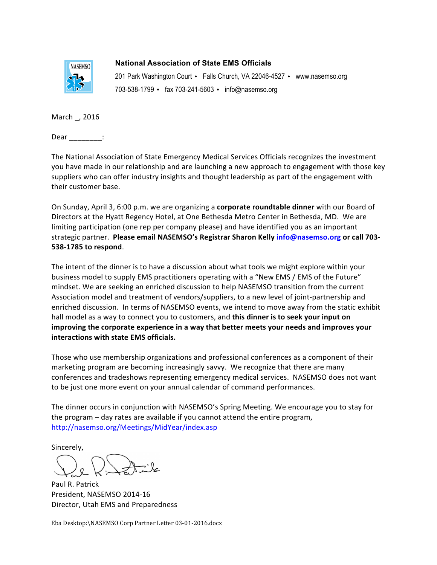

**National Association of State EMS Officials** 201 Park Washington Court • Falls Church, VA 22046-4527 • www.nasemso.org

703-538-1799 • fax 703-241-5603 • info@nasemso.org

March \_, 2016

Dear \_\_\_\_\_\_\_\_: To: Mike Hall, President of the American American American American American American American American American<br>Ambulance Association

The National Association of State Emergency Medical Services Officials recognizes the investment you have made in our relationship and are launching a new approach to engagement with those key substrate made in our relationship and are reducing a non-approash to engagement that these suppliers who can offer industry insights and thought leadership as part of the engagement with  $\mathsf{their}\ \mathsf{customer}\ \mathsf{base}.$ 

On Sunday, April 3, 6:00 p.m. we are organizing a **corporate roundtable dinner** with our Board of Directors at the Hyatt Regency Hotel, at One Bethesda Metro Center in Bethesda, MD. We are limiting participation (one rep per company please) and have identified you as an important strategic partner. **Please email NASEMSO's Registrar Sharon Kelly** *info@nasemso.org* **or call 703-538-1785 to respond.** Promise to utilize and state EMSIS systems and state  $\mathbb{R}^n$ meeting on San Diego. Day is the Wednesday of Band and Diego. Please required an one with our board or plan on<br>Die goed on die groot van die goed in die goed in die goed in San Diego. Die goed in 14th is die 14th van die

The intent of the dinner is to have a discussion about what tools we might explore within your business model to supply EMS practitioners operating with a "New EMS / EMS of the Future" and begin the compact of compact the process of personal models were also process for the future. Association model and treatment of vendors/suppliers, to a new level of joint-partnership and enriched discussion. In terms of NASEMSO events, we intend to move away from the static exhibit hall model as a way to connect you to customers, and **this dinner is to seek your input on** improving the corporate experience in a way that better meets your needs and improves your **Interactions with state EMS officials.** 

Those who use membership organizations and professional conferences as a component of their marketing program are becoming increasingly savvy. We recognize that there are many conferences and tradeshows representing emergency medical services. NASEMSO does not want to be just one more event on your annual calendar of command performances.

The dinner occurs in conjunction with NASEMSO's Spring Meeting. We encourage you to stay for the program – day rates are available if you cannot attend the entire program,<br> $\frac{d}{dx}$ <http://nasemso.org/Meetings/MidYear/index.asp>

Sincerely,  $y_{\rm s}$  if  $y_{\rm s}$  and  $y_{\rm s}$  and  $z_{\rm s}$  at 801-5161-5165 or by e-mail at 801-5165 or  $b-$ 

 $p \rightarrow \infty$  $\mathcal{N}$  collaboration between all of us is continued success, which I look for  $\mathcal{N}$  is continued success, which I look for  $\mathcal{N}$  $\overline{a}$ 

Paul R. Patrick President, NASEMSO 2014-16 Director, Utah EMS and Preparedness

Eba Desktop:\NASEMSO Corp Partner Letter 03-01-2016.docx